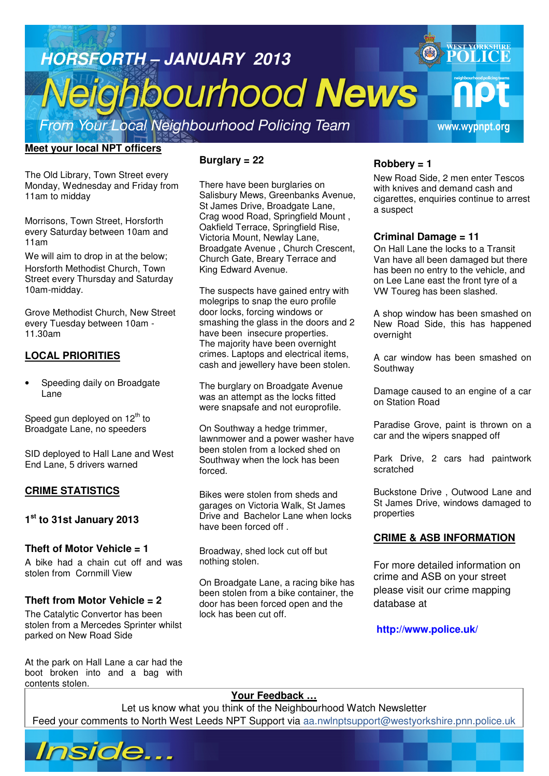

# **Meet your local NPT officers**

The Old Library, Town Street every Monday, Wednesday and Friday from 11am to midday

Morrisons, Town Street, Horsforth every Saturday between 10am and 11am

We will aim to drop in at the below; Horsforth Methodist Church, Town Street every Thursday and Saturday 10am-midday.

Grove Methodist Church, New Street every Tuesday between 10am - 11.30am

## **LOCAL PRIORITIES**

Speeding daily on Broadgate Lane

Speed gun deployed on  $12<sup>th</sup>$  to Broadgate Lane, no speeders

SID deployed to Hall Lane and West End Lane, 5 drivers warned

## **CRIME STATISTICS**

# **1 st to 31st January 2013**

## **Theft of Motor Vehicle = 1**

A bike had a chain cut off and was stolen from Cornmill View

## **Theft from Motor Vehicle = 2**

The Catalytic Convertor has been stolen from a Mercedes Sprinter whilst parked on New Road Side

At the park on Hall Lane a car had the boot broken into and a bag with contents stolen.

# **Burglary = 22**

There have been burglaries on Salisbury Mews, Greenbanks Avenue, St James Drive, Broadgate Lane, Crag wood Road, Springfield Mount , Oakfield Terrace, Springfield Rise, Victoria Mount, Newlay Lane, Broadgate Avenue , Church Crescent, Church Gate, Breary Terrace and King Edward Avenue.

The suspects have gained entry with molegrips to snap the euro profile door locks, forcing windows or smashing the glass in the doors and 2 have been insecure properties. The majority have been overnight crimes. Laptops and electrical items, cash and jewellery have been stolen.

The burglary on Broadgate Avenue was an attempt as the locks fitted were snapsafe and not europrofile.

On Southway a hedge trimmer, lawnmower and a power washer have been stolen from a locked shed on Southway when the lock has been forced.

Bikes were stolen from sheds and garages on Victoria Walk, St James Drive and Bachelor Lane when locks have been forced off .

Broadway, shed lock cut off but nothing stolen.

On Broadgate Lane, a racing bike has been stolen from a bike container, the door has been forced open and the lock has been cut off.

# **Robbery = 1**

New Road Side, 2 men enter Tescos with knives and demand cash and cigarettes, enquiries continue to arrest a suspect

### **Criminal Damage = 11**

On Hall Lane the locks to a Transit Van have all been damaged but there has been no entry to the vehicle, and on Lee Lane east the front tyre of a VW Toureg has been slashed.

A shop window has been smashed on New Road Side, this has happened overnight

A car window has been smashed on Southway

Damage caused to an engine of a car on Station Road

Paradise Grove, paint is thrown on a car and the wipers snapped off

Park Drive, 2 cars had paintwork scratched

Buckstone Drive , Outwood Lane and St James Drive, windows damaged to properties

## **CRIME & ASB INFORMATION**

For more detailed information on crime and ASB on your street please visit our crime mapping database at

**http://www.police.uk/**

**Article about? Pg 3 Article about? Pg 4** 

## **Your Feedback …**

Let us know what you think of the Neighbourhood Watch Newsletter Feed your comments to North West Leeds NPT Support via aa.nwlnptsupport@westyorkshire.pnn.police.uk